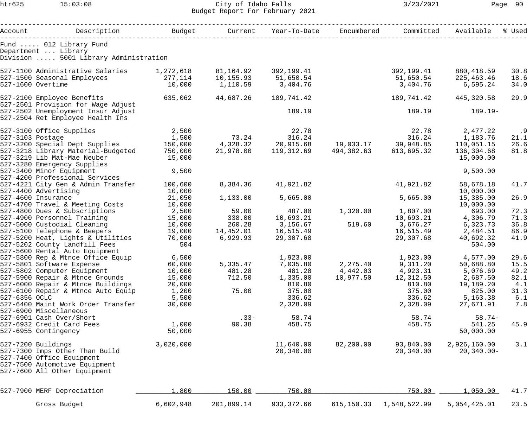## htr625 15:03:08 City of Idaho Falls 3/23/2021 Page 90 Budget Report For February 2021

| Account       | Description                                                            | Budget    | Current    | Year-To-Date | Encumbered          | Committed    | Available         | % Used |
|---------------|------------------------------------------------------------------------|-----------|------------|--------------|---------------------|--------------|-------------------|--------|
|               | Fund  012 Library Fund<br>Department  Library                          |           |            |              |                     |              |                   |        |
|               | Division  5001 Library Administration                                  |           |            |              |                     |              |                   |        |
|               | 527-1100 Administrative Salaries                                       | 1,272,618 | 81,164.92  | 392,199.41   |                     | 392,199.41   | 880,418.59        | 30.8   |
|               | 527-1500 Seasonal Employees                                            | 277,114   | 10,155.93  | 51,650.54    |                     | 51,650.54    | 225,463.46        | 18.6   |
|               | 527-1600 Overtime                                                      | 10,000    | 1,110.59   | 3,404.76     |                     | 3,404.76     | 6,595.24          | 34.0   |
|               | 527-2100 Employee Benefits                                             | 635,062   | 44,687.26  | 189,741.42   |                     | 189,741.42   | 445,320.58        | 29.9   |
|               | 527-2501 Provision for Wage Adjust                                     |           |            |              |                     |              |                   |        |
|               | 527-2502 Unemployment Insur Adjust<br>527-2504 Ret Employee Health Ins |           |            | 189.19       |                     | 189.19       | $189.19 -$        |        |
|               | 527-3100 Office Supplies                                               | 2,500     |            | 22.78        |                     | 22.78        | 2,477.22          | .9     |
|               | 527-3103 Postage                                                       | 1,500     | 73.24      | 316.24       |                     | 316.24       | 1,183.76          | 21.1   |
|               | 527-3200 Special Dept Supplies                                         | 150,000   | 4,328.32   | 20,915.68    | 19,033.17 39,948.85 |              | 110,051.15        | 26.6   |
|               | 527-3218 Library Material-Budgeted                                     | 750,000   | 21,978.00  | 119,312.69   | 494,382.63          | 613,695.32   | 136,304.68        | 81.8   |
|               | 527-3219 Lib Mat-Mae Neuber                                            | 15,000    |            |              |                     |              | 15,000.00         |        |
|               | 527-3280 Emergency Supplies<br>527-3400 Minor Equipment                | 9,500     |            |              |                     |              | 9,500.00          |        |
|               | 527-4200 Professional Services                                         |           |            |              |                     |              |                   |        |
|               | 527-4221 City Gen & Admin Transfer                                     | 100,600   | 8,384.36   | 41,921.82    |                     | 41,921.82    | 58,678.18         | 41.7   |
|               | 527-4400 Advertising                                                   | 10,000    |            |              |                     |              | 10,000.00         |        |
|               | 527-4600 Insurance                                                     | 21,050    | 1,133.00   | 5,665.00     |                     | 5,665.00     | 15,385.00         | 26.9   |
|               | 527-4700 Travel & Meeting Costs                                        | 10,000    |            |              |                     |              | 10,000.00         |        |
|               | 527-4800 Dues & Subscriptions                                          | 2,500     | 59.00      | 487.00       | 1,320.00            | 1,807.00     | 693.00            | 72.3   |
|               | 527-4900 Personnel Training                                            | 15,000    | 338.00     | 10,693.21    |                     | 10,693.21    | 4,306.79          | 71.3   |
|               | 527-5000 Custodial Cleaning                                            | 10,000    | 260.28     | 3,156.67     | 519.60              | 3,676.27     | 6,323.73          | 36.8   |
|               | 527-5100 Telephone & Beepers                                           | 19,000    | 14,452.01  | 16,515.49    |                     | 16,515.49    | 2,484.51          | 86.9   |
|               | 527-5200 Heat, Lights & Utilities                                      | 70,000    | 6,929.93   | 29,307.68    |                     | 29,307.68    | 40,692.32         | 41.9   |
|               | 527-5202 County Landfill Fees                                          | 504       |            |              |                     |              | 504.00            |        |
|               | 527-5600 Rental Auto Equipment                                         |           |            |              |                     |              |                   |        |
|               | 527-5800 Rep & Mtnce Office Equip                                      | 6,500     |            | 1,923.00     |                     |              | 1,923.00 4,577.00 | 29.6   |
|               | 527-5801 Software Expense                                              | 60,000    | 5,335.47   | 7,035.80     | 2,275.40            | 9,311.20     | 50,688.80         | 15.5   |
|               | 527-5802 Computer Equipment                                            | 10,000    | 481.28     | 481.28       | 4,442.03            | 4,923.31     | 5,076.69          | 49.2   |
|               | 527-5900 Repair & Mtnce Grounds                                        | 15,000    | 712.50     | 1,335.00     | 10,977.50           | 12,312.50    | 2,687.50          | 82.1   |
|               | 527-6000 Repair & Mtnce Buildings                                      | 20,000    |            | 810.80       |                     | 810.80       | 19,189.20         | 4.1    |
|               | 527-6100 Repair & Mtnce Auto Equip                                     | 1,200     | 75.00      | 375.00       |                     | 375.00       | 825.00            | 31.3   |
| 527-6356 OCLC |                                                                        | 5,500     |            | 336.62       |                     | 336.62       | 5,163.38          | 6.1    |
|               | 527-6400 Maint Work Order Transfer                                     | 30,000    |            | 2,328.09     |                     | 2,328.09     | 27,671.91         | 7.8    |
|               | 527-6900 Miscellaneous                                                 |           |            |              |                     |              |                   |        |
|               | 527-6901 Cash Over/Short                                               |           | $.33-$     | 58.74        |                     | 58.74        | $58.74-$          |        |
|               | 527-6932 Credit Card Fees                                              | 1,000     | 90.38      | 458.75       |                     | 458.75       | 541.25            | 45.9   |
|               | 527-6955 Contingency                                                   | 50,000    |            |              |                     |              | 50,000.00         |        |
|               | 527-7200 Buildings                                                     | 3,020,000 |            | 11,640.00    | 82,200.00           | 93,840.00    | 2,926,160.00      | 3.1    |
|               | 527-7300 Imps Other Than Build                                         |           |            | 20,340.00    |                     | 20,340.00    | $20, 340.00 -$    |        |
|               | 527-7400 Office Equipment                                              |           |            |              |                     |              |                   |        |
|               | 527-7500 Automotive Equipment                                          |           |            |              |                     |              |                   |        |
|               | 527-7600 All Other Equipment                                           |           |            |              |                     |              |                   |        |
|               | 527-7900 MERF Depreciation                                             | 1,800     | 150.00     | 750.00       |                     | 750.00       | 1,050.00          | 41.7   |
|               |                                                                        |           |            |              |                     |              |                   |        |
|               | Gross Budget                                                           | 6,602,948 | 201,899.14 | 933,372.66   | 615,150.33          | 1,548,522.99 | 5,054,425.01      | 23.5   |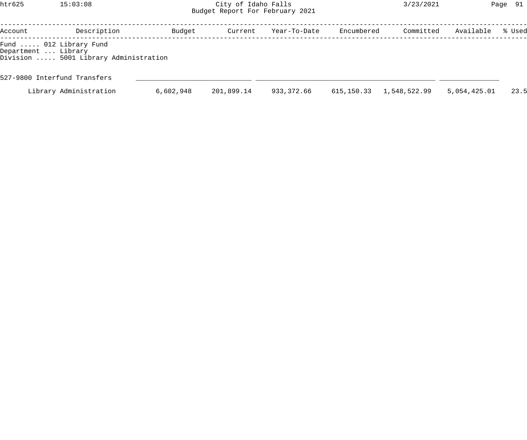htr625 15:03:08 City of Idaho Falls 3/23/2021 Page 91 Budget Report For February 2021

| Account             | Description                                                     | Budget    | Current    | Year-To-Date | Encumbered | Committed    | Available    | % Used |
|---------------------|-----------------------------------------------------------------|-----------|------------|--------------|------------|--------------|--------------|--------|
| Department  Library | Fund  012 Library Fund<br>Division  5001 Library Administration |           |            |              |            |              |              |        |
|                     | 527-9800 Interfund Transfers                                    |           |            |              |            |              |              |        |
|                     | Library Administration                                          | 6,602,948 | 201,899.14 | 933,372.66   | 615,150.33 | 1,548,522.99 | 5,054,425.01 | 23.5   |